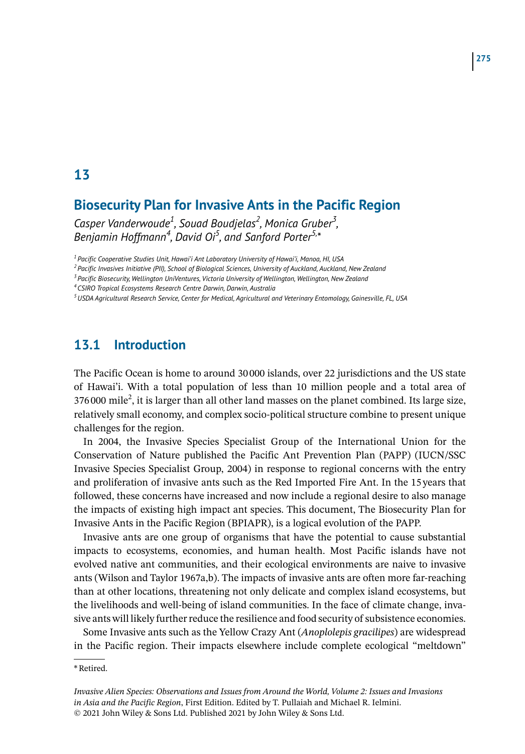## **13**

# **Biosecurity Plan for Invasive Ants in the Pacific Region**

Casper Vanderwoude<sup>1</sup>, Souad Boudjelas<sup>2</sup>, Monica Gruber<sup>3</sup>, Benjamin Hoffmann<sup>4</sup>, David Oi<sup>5</sup>, and Sanford Porter<sup>5,\*</sup>

*1Pacific Cooperative Studies Unit, Hawai'i Ant Laboratory University of Hawai'i, Manoa, HI, USA*

*2Pacific Invasives Initiative (PII), School of Biological Sciences, University of Auckland, Auckland, New Zealand*

*3Pacific Biosecurity, Wellington UniVentures, Victoria University of Wellington, Wellington, New Zealand*

*4CSIRO Tropical Ecosystems Research Centre Darwin, Darwin, Australia*

*5USDA Agricultural Research Service, Center for Medical, Agricultural and Veterinary Entomology, Gainesville, FL, USA*

### **13.1 Introduction**

The Pacific Ocean is home to around 30 000 islands, over 22 jurisdictions and the US state of Hawai'i. With a total population of less than 10 million people and a total area of  $376\,000$  mile<sup>2</sup>, it is larger than all other land masses on the planet combined. Its large size, relatively small economy, and complex socio-political structure combine to present unique challenges for the region.

In 2004, the Invasive Species Specialist Group of the International Union for the Conservation of Nature published the Pacific Ant Prevention Plan (PAPP) (IUCN/SSC Invasive Species Specialist Group, 2004) in response to regional concerns with the entry and proliferation of invasive ants such as the Red Imported Fire Ant. In the 15 years that followed, these concerns have increased and now include a regional desire to also manage the impacts of existing high impact ant species. This document, The Biosecurity Plan for Invasive Ants in the Pacific Region (BPIAPR), is a logical evolution of the PAPP.

Invasive ants are one group of organisms that have the potential to cause substantial impacts to ecosystems, economies, and human health. Most Pacific islands have not evolved native ant communities, and their ecological environments are naive to invasive ants (Wilson and Taylor 1967a,b). The impacts of invasive ants are often more far-reaching than at other locations, threatening not only delicate and complex island ecosystems, but the livelihoods and well-being of island communities. In the face of climate change, invasive ants will likely further reduce the resilience and food security of subsistence economies.

Some Invasive ants such as the Yellow Crazy Ant (*Anoplolepis gracilipes*) are widespread in the Pacific region. Their impacts elsewhere include complete ecological "meltdown"

\*Retired.

*Invasive Alien Species: Observations and Issues from Around the World, Volume 2: Issues and Invasions in Asia and the Pacific Region*, First Edition. Edited by T. Pullaiah and Michael R. Ielmini. © 2021 John Wiley & Sons Ltd. Published 2021 by John Wiley & Sons Ltd.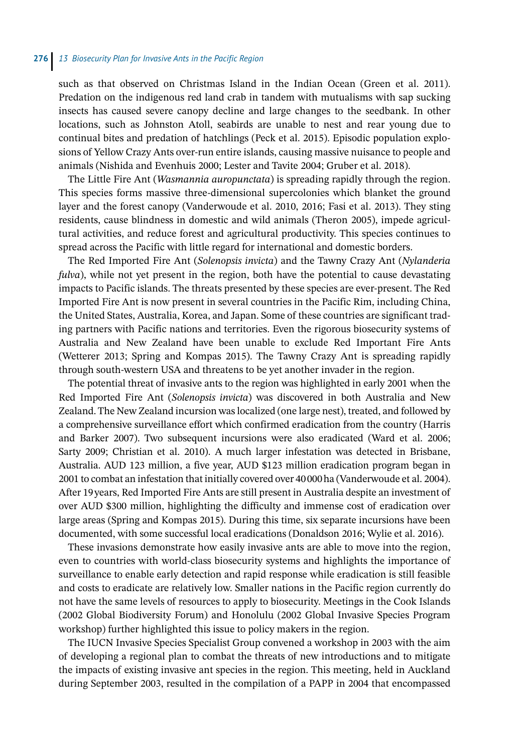such as that observed on Christmas Island in the Indian Ocean (Green et al. 2011). Predation on the indigenous red land crab in tandem with mutualisms with sap sucking insects has caused severe canopy decline and large changes to the seedbank. In other locations, such as Johnston Atoll, seabirds are unable to nest and rear young due to continual bites and predation of hatchlings (Peck et al. 2015). Episodic population explosions of Yellow Crazy Ants over-run entire islands, causing massive nuisance to people and animals (Nishida and Evenhuis 2000; Lester and Tavite 2004; Gruber et al. 2018).

The Little Fire Ant (*Wasmannia auropunctata*) is spreading rapidly through the region. This species forms massive three-dimensional supercolonies which blanket the ground layer and the forest canopy (Vanderwoude et al. 2010, 2016; Fasi et al. 2013). They sting residents, cause blindness in domestic and wild animals (Theron 2005), impede agricultural activities, and reduce forest and agricultural productivity. This species continues to spread across the Pacific with little regard for international and domestic borders.

The Red Imported Fire Ant (*Solenopsis invicta*) and the Tawny Crazy Ant (*Nylanderia fulva*), while not yet present in the region, both have the potential to cause devastating impacts to Pacific islands. The threats presented by these species are ever-present. The Red Imported Fire Ant is now present in several countries in the Pacific Rim, including China, the United States, Australia, Korea, and Japan. Some of these countries are significant trading partners with Pacific nations and territories. Even the rigorous biosecurity systems of Australia and New Zealand have been unable to exclude Red Important Fire Ants (Wetterer 2013; Spring and Kompas 2015). The Tawny Crazy Ant is spreading rapidly through south-western USA and threatens to be yet another invader in the region.

The potential threat of invasive ants to the region was highlighted in early 2001 when the Red Imported Fire Ant (*Solenopsis invicta*) was discovered in both Australia and New Zealand. The New Zealand incursion was localized (one large nest), treated, and followed by a comprehensive surveillance effort which confirmed eradication from the country (Harris and Barker 2007). Two subsequent incursions were also eradicated (Ward et al. 2006; Sarty 2009; Christian et al. 2010). A much larger infestation was detected in Brisbane, Australia. AUD 123 million, a five year, AUD \$123 million eradication program began in 2001 to combat an infestation that initially covered over 40000ha (Vanderwoude et al. 2004). After 19years, Red Imported Fire Ants are still present in Australia despite an investment of over AUD \$300 million, highlighting the difficulty and immense cost of eradication over large areas (Spring and Kompas 2015). During this time, six separate incursions have been documented, with some successful local eradications (Donaldson 2016; Wylie et al. 2016).

These invasions demonstrate how easily invasive ants are able to move into the region, even to countries with world-class biosecurity systems and highlights the importance of surveillance to enable early detection and rapid response while eradication is still feasible and costs to eradicate are relatively low. Smaller nations in the Pacific region currently do not have the same levels of resources to apply to biosecurity. Meetings in the Cook Islands (2002 Global Biodiversity Forum) and Honolulu (2002 Global Invasive Species Program workshop) further highlighted this issue to policy makers in the region.

The IUCN Invasive Species Specialist Group convened a workshop in 2003 with the aim of developing a regional plan to combat the threats of new introductions and to mitigate the impacts of existing invasive ant species in the region. This meeting, held in Auckland during September 2003, resulted in the compilation of a PAPP in 2004 that encompassed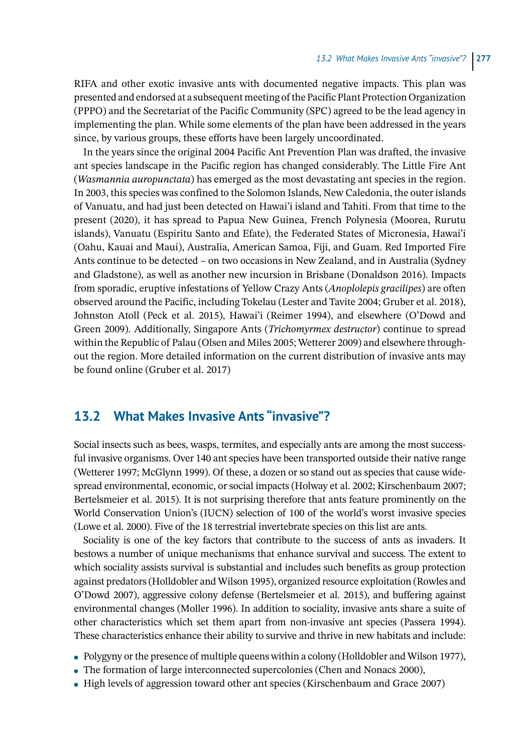RIFA and other exotic invasive ants with documented negative impacts. This plan was presented and endorsed at a subsequent meeting of the Pacific Plant Protection Organization (PPPO) and the Secretariat of the Pacific Community (SPC) agreed to be the lead agency in implementing the plan. While some elements of the plan have been addressed in the years since, by various groups, these efforts have been largely uncoordinated.

In the years since the original 2004 Pacific Ant Prevention Plan was drafted, the invasive ant species landscape in the Pacific region has changed considerably. The Little Fire Ant (*Wasmannia auropunctata*) has emerged as the most devastating ant species in the region. In 2003, this species was confined to the Solomon Islands, New Caledonia, the outer islands of Vanuatu, and had just been detected on Hawai'i island and Tahiti. From that time to the present (2020), it has spread to Papua New Guinea, French Polynesia (Moorea, Rurutu islands), Vanuatu (Espiritu Santo and Efate), the Federated States of Micronesia, Hawai'i (Oahu, Kauai and Maui), Australia, American Samoa, Fiji, and Guam. Red Imported Fire Ants continue to be detected – on two occasions in New Zealand, and in Australia (Sydney and Gladstone), as well as another new incursion in Brisbane (Donaldson 2016). Impacts from sporadic, eruptive infestations of Yellow Crazy Ants (*Anoplolepis gracilipes*) are often observed around the Pacific, including Tokelau (Lester and Tavite 2004; Gruber et al. 2018), Johnston Atoll (Peck et al. 2015), Hawai'i (Reimer 1994), and elsewhere (O'Dowd and Green 2009). Additionally, Singapore Ants (*Trichomyrmex destructor*) continue to spread within the Republic of Palau (Olsen and Miles 2005; Wetterer 2009) and elsewhere throughout the region. More detailed information on the current distribution of invasive ants may be found online (Gruber et al. 2017)

## **13.2 What Makes Invasive Ants "invasive"?**

Social insects such as bees, wasps, termites, and especially ants are among the most successful invasive organisms. Over 140 ant species have been transported outside their native range (Wetterer 1997; McGlynn 1999). Of these, a dozen or so stand out as species that cause widespread environmental, economic, or social impacts (Holway et al. 2002; Kirschenbaum 2007; Bertelsmeier et al. 2015). It is not surprising therefore that ants feature prominently on the World Conservation Union's (IUCN) selection of 100 of the world's worst invasive species (Lowe et al. 2000). Five of the 18 terrestrial invertebrate species on this list are ants.

Sociality is one of the key factors that contribute to the success of ants as invaders. It bestows a number of unique mechanisms that enhance survival and success. The extent to which sociality assists survival is substantial and includes such benefits as group protection against predators (Holldobler and Wilson 1995), organized resource exploitation (Rowles and O'Dowd 2007), aggressive colony defense (Bertelsmeier et al. 2015), and buffering against environmental changes (Moller 1996). In addition to sociality, invasive ants share a suite of other characteristics which set them apart from non-invasive ant species (Passera 1994). These characteristics enhance their ability to survive and thrive in new habitats and include:

- Polygyny or the presence of multiple queens within a colony (Holldobler and Wilson 1977),
- The formation of large interconnected supercolonies (Chen and Nonacs 2000),
- High levels of aggression toward other ant species (Kirschenbaum and Grace 2007)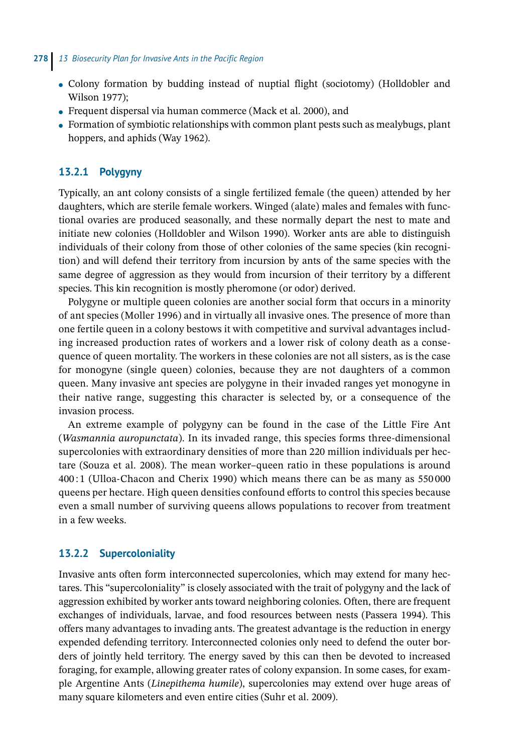- Colony formation by budding instead of nuptial flight (sociotomy) (Holldobler and Wilson 1977);
- $\bullet$  Frequent dispersal via human commerce (Mack et al. 2000), and
- Formation of symbiotic relationships with common plant pests such as mealybugs, plant hoppers, and aphids (Way 1962).

#### **13.2.1 Polygyny**

Typically, an ant colony consists of a single fertilized female (the queen) attended by her daughters, which are sterile female workers. Winged (alate) males and females with functional ovaries are produced seasonally, and these normally depart the nest to mate and initiate new colonies (Holldobler and Wilson 1990). Worker ants are able to distinguish individuals of their colony from those of other colonies of the same species (kin recognition) and will defend their territory from incursion by ants of the same species with the same degree of aggression as they would from incursion of their territory by a different species. This kin recognition is mostly pheromone (or odor) derived.

Polygyne or multiple queen colonies are another social form that occurs in a minority of ant species (Moller 1996) and in virtually all invasive ones. The presence of more than one fertile queen in a colony bestows it with competitive and survival advantages including increased production rates of workers and a lower risk of colony death as a consequence of queen mortality. The workers in these colonies are not all sisters, as is the case for monogyne (single queen) colonies, because they are not daughters of a common queen. Many invasive ant species are polygyne in their invaded ranges yet monogyne in their native range, suggesting this character is selected by, or a consequence of the invasion process.

An extreme example of polygyny can be found in the case of the Little Fire Ant (*Wasmannia auropunctata*). In its invaded range, this species forms three-dimensional supercolonies with extraordinary densities of more than 220 million individuals per hectare (Souza et al. 2008). The mean worker–queen ratio in these populations is around 400 : 1 (Ulloa-Chacon and Cherix 1990) which means there can be as many as 550 000 queens per hectare. High queen densities confound efforts to control this species because even a small number of surviving queens allows populations to recover from treatment in a few weeks.

#### **13.2.2 Supercoloniality**

Invasive ants often form interconnected supercolonies, which may extend for many hectares. This "supercoloniality" is closely associated with the trait of polygyny and the lack of aggression exhibited by worker ants toward neighboring colonies. Often, there are frequent exchanges of individuals, larvae, and food resources between nests (Passera 1994). This offers many advantages to invading ants. The greatest advantage is the reduction in energy expended defending territory. Interconnected colonies only need to defend the outer borders of jointly held territory. The energy saved by this can then be devoted to increased foraging, for example, allowing greater rates of colony expansion. In some cases, for example Argentine Ants (*Linepithema humile*), supercolonies may extend over huge areas of many square kilometers and even entire cities (Suhr et al. 2009).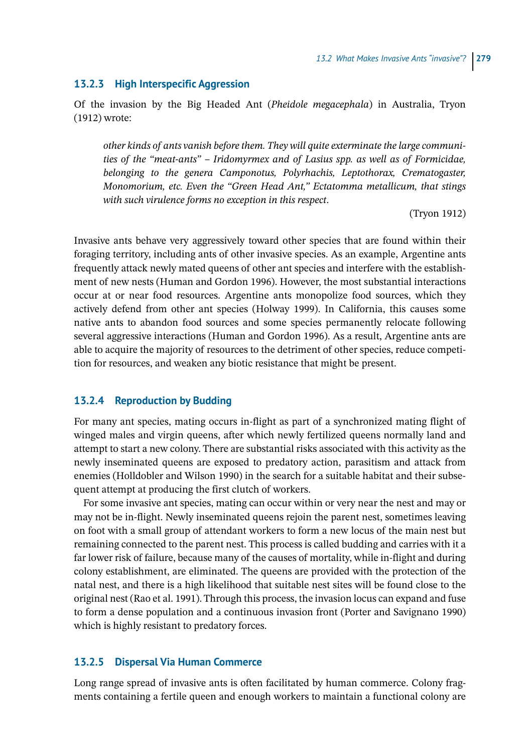#### **13.2.3 High Interspecific Aggression**

Of the invasion by the Big Headed Ant (*Pheidole megacephala*) in Australia, Tryon (1912) wrote:

*other kinds of ants vanish before them. They will quite exterminate the large communities of the "meat-ants" – Iridomyrmex and of Lasius spp. as well as of Formicidae, belonging to the genera Camponotus, Polyrhachis, Leptothorax, Crematogaster, Monomorium, etc. Even the "Green Head Ant," Ectatomma metallicum, that stings with such virulence forms no exception in this respect*.

(Tryon 1912)

Invasive ants behave very aggressively toward other species that are found within their foraging territory, including ants of other invasive species. As an example, Argentine ants frequently attack newly mated queens of other ant species and interfere with the establishment of new nests (Human and Gordon 1996). However, the most substantial interactions occur at or near food resources. Argentine ants monopolize food sources, which they actively defend from other ant species (Holway 1999). In California, this causes some native ants to abandon food sources and some species permanently relocate following several aggressive interactions (Human and Gordon 1996). As a result, Argentine ants are able to acquire the majority of resources to the detriment of other species, reduce competition for resources, and weaken any biotic resistance that might be present.

#### **13.2.4 Reproduction by Budding**

For many ant species, mating occurs in-flight as part of a synchronized mating flight of winged males and virgin queens, after which newly fertilized queens normally land and attempt to start a new colony. There are substantial risks associated with this activity as the newly inseminated queens are exposed to predatory action, parasitism and attack from enemies (Holldobler and Wilson 1990) in the search for a suitable habitat and their subsequent attempt at producing the first clutch of workers.

For some invasive ant species, mating can occur within or very near the nest and may or may not be in-flight. Newly inseminated queens rejoin the parent nest, sometimes leaving on foot with a small group of attendant workers to form a new locus of the main nest but remaining connected to the parent nest. This process is called budding and carries with it a far lower risk of failure, because many of the causes of mortality, while in-flight and during colony establishment, are eliminated. The queens are provided with the protection of the natal nest, and there is a high likelihood that suitable nest sites will be found close to the original nest (Rao et al. 1991). Through this process, the invasion locus can expand and fuse to form a dense population and a continuous invasion front (Porter and Savignano 1990) which is highly resistant to predatory forces.

#### **13.2.5 Dispersal Via Human Commerce**

Long range spread of invasive ants is often facilitated by human commerce. Colony fragments containing a fertile queen and enough workers to maintain a functional colony are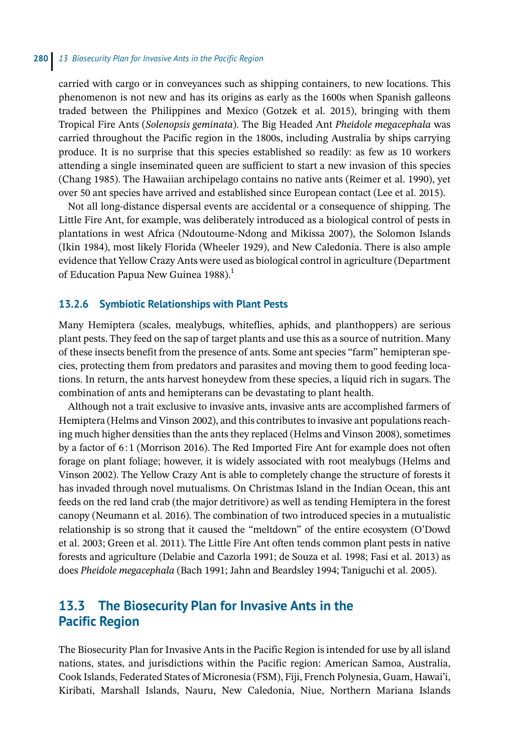carried with cargo or in conveyances such as shipping containers, to new locations. This phenomenon is not new and has its origins as early as the 1600s when Spanish galleons traded between the Philippines and Mexico (Gotzek et al. 2015), bringing with them Tropical Fire Ants (*Solenopsis geminata*). The Big Headed Ant *Pheidole megacephala* was carried throughout the Pacific region in the 1800s, including Australia by ships carrying produce. It is no surprise that this species established so readily: as few as 10 workers attending a single inseminated queen are sufficient to start a new invasion of this species (Chang 1985). The Hawaiian archipelago contains no native ants (Reimer et al. 1990), yet over 50 ant species have arrived and established since European contact (Lee et al. 2015).

Not all long-distance dispersal events are accidental or a consequence of shipping. The Little Fire Ant, for example, was deliberately introduced as a biological control of pests in plantations in west Africa (Ndoutoume-Ndong and Mikissa 2007), the Solomon Islands (Ikin 1984), most likely Florida (Wheeler 1929), and New Caledonia. There is also ample evidence that Yellow Crazy Ants were used as biological control in agriculture (Department of Education Papua New Guinea 1988).<sup>1</sup>

#### **13.2.6 Symbiotic Relationships with Plant Pests**

Many Hemiptera (scales, mealybugs, whiteflies, aphids, and planthoppers) are serious plant pests. They feed on the sap of target plants and use this as a source of nutrition. Many of these insects benefit from the presence of ants. Some ant species "farm" hemipteran species, protecting them from predators and parasites and moving them to good feeding locations. In return, the ants harvest honeydew from these species, a liquid rich in sugars. The combination of ants and hemipterans can be devastating to plant health.

Although not a trait exclusive to invasive ants, invasive ants are accomplished farmers of Hemiptera (Helms and Vinson 2002), and this contributes to invasive ant populations reaching much higher densities than the ants they replaced (Helms and Vinson 2008), sometimes by a factor of 6:1 (Morrison 2016). The Red Imported Fire Ant for example does not often forage on plant foliage; however, it is widely associated with root mealybugs (Helms and Vinson 2002). The Yellow Crazy Ant is able to completely change the structure of forests it has invaded through novel mutualisms. On Christmas Island in the Indian Ocean, this ant feeds on the red land crab (the major detritivore) as well as tending Hemiptera in the forest canopy (Neumann et al. 2016). The combination of two introduced species in a mutualistic relationship is so strong that it caused the "meltdown" of the entire ecosystem (O'Dowd et al. 2003; Green et al. 2011). The Little Fire Ant often tends common plant pests in native forests and agriculture (Delabie and Cazorla 1991; de Souza et al. 1998; Fasi et al. 2013) as does *Pheidole megacephala* (Bach 1991; Jahn and Beardsley 1994; Taniguchi et al. 2005).

## **13.3 The Biosecurity Plan for Invasive Ants in the Pacific Region**

The Biosecurity Plan for Invasive Ants in the Pacific Region is intended for use by all island nations, states, and jurisdictions within the Pacific region: American Samoa, Australia, Cook Islands, Federated States of Micronesia (FSM), Fiji, French Polynesia, Guam, Hawai'i, Kiribati, Marshall Islands, Nauru, New Caledonia, Niue, Northern Mariana Islands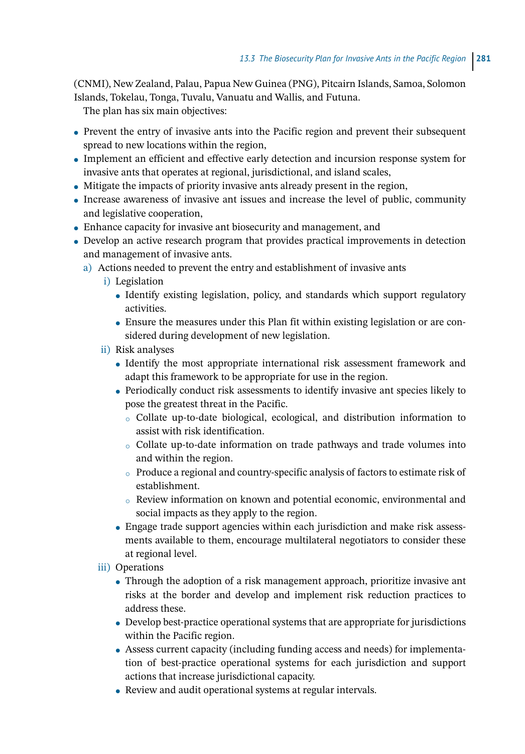(CNMI), New Zealand, Palau, Papua New Guinea (PNG), Pitcairn Islands, Samoa, Solomon Islands, Tokelau, Tonga, Tuvalu, Vanuatu and Wallis, and Futuna.

The plan has six main objectives:

- Prevent the entry of invasive ants into the Pacific region and prevent their subsequent spread to new locations within the region,
- Implement an efficient and effective early detection and incursion response system for invasive ants that operates at regional, jurisdictional, and island scales,
- Mitigate the impacts of priority invasive ants already present in the region,
- Increase awareness of invasive ant issues and increase the level of public, community and legislative cooperation,
- Enhance capacity for invasive ant biosecurity and management, and
- Develop an active research program that provides practical improvements in detection and management of invasive ants.
	- a) Actions needed to prevent the entry and establishment of invasive ants
		- i) Legislation
			- Identify existing legislation, policy, and standards which support regulatory activities.
			- Ensure the measures under this Plan fit within existing legislation or are considered during development of new legislation.
		- ii) Risk analyses
			- Identify the most appropriate international risk assessment framework and adapt this framework to be appropriate for use in the region.
			- Periodically conduct risk assessments to identify invasive ant species likely to pose the greatest threat in the Pacific.
				- ⚪ Collate up-to-date biological, ecological, and distribution information to assist with risk identification.
				- ⚪ Collate up-to-date information on trade pathways and trade volumes into and within the region.
				- $\circ$  Produce a regional and country-specific analysis of factors to estimate risk of establishment.
				- ⚪ Review information on known and potential economic, environmental and social impacts as they apply to the region.
			- Engage trade support agencies within each jurisdiction and make risk assessments available to them, encourage multilateral negotiators to consider these at regional level.
		- iii) Operations
			- Through the adoption of a risk management approach, prioritize invasive ant risks at the border and develop and implement risk reduction practices to address these.
			- Develop best-practice operational systems that are appropriate for jurisdictions within the Pacific region.
			- Assess current capacity (including funding access and needs) for implementation of best-practice operational systems for each jurisdiction and support actions that increase jurisdictional capacity.
			- Review and audit operational systems at regular intervals.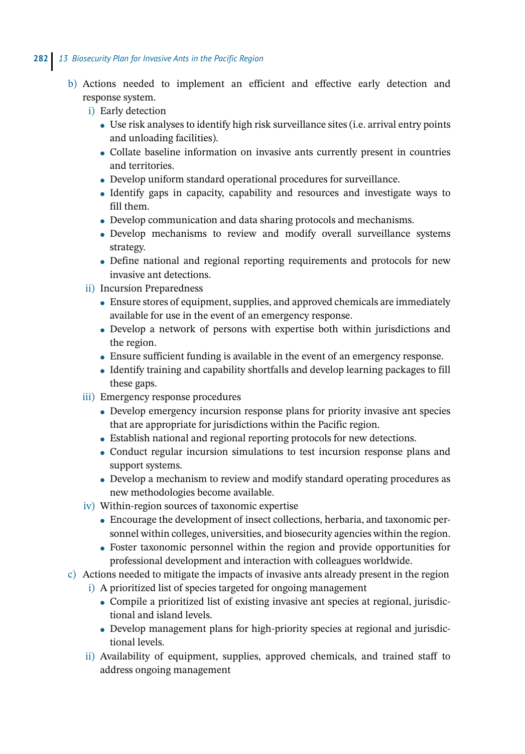- b) Actions needed to implement an efficient and effective early detection and response system.
	- i) Early detection
		- Use risk analyses to identify high risk surveillance sites (i.e. arrival entry points and unloading facilities).
		- Collate baseline information on invasive ants currently present in countries and territories.
		- Develop uniform standard operational procedures for surveillance.
		- Identify gaps in capacity, capability and resources and investigate ways to fill them.
		- Develop communication and data sharing protocols and mechanisms.
		- Develop mechanisms to review and modify overall surveillance systems strategy.
		- Define national and regional reporting requirements and protocols for new invasive ant detections.
	- ii) Incursion Preparedness
		- Ensure stores of equipment, supplies, and approved chemicals are immediately available for use in the event of an emergency response.
		- Develop a network of persons with expertise both within jurisdictions and the region.
		- Ensure sufficient funding is available in the event of an emergency response.
		- Identify training and capability shortfalls and develop learning packages to fill these gaps.
	- iii) Emergency response procedures
		- Develop emergency incursion response plans for priority invasive ant species that are appropriate for jurisdictions within the Pacific region.
		- Establish national and regional reporting protocols for new detections.
		- Conduct regular incursion simulations to test incursion response plans and support systems.
		- Develop a mechanism to review and modify standard operating procedures as new methodologies become available.
	- iv) Within-region sources of taxonomic expertise
		- Encourage the development of insect collections, herbaria, and taxonomic personnel within colleges, universities, and biosecurity agencies within the region.
		- Foster taxonomic personnel within the region and provide opportunities for professional development and interaction with colleagues worldwide.
- c) Actions needed to mitigate the impacts of invasive ants already present in the region
	- i) A prioritized list of species targeted for ongoing management
		- Compile a prioritized list of existing invasive ant species at regional, jurisdictional and island levels.
		- Develop management plans for high-priority species at regional and jurisdictional levels.
	- ii) Availability of equipment, supplies, approved chemicals, and trained staff to address ongoing management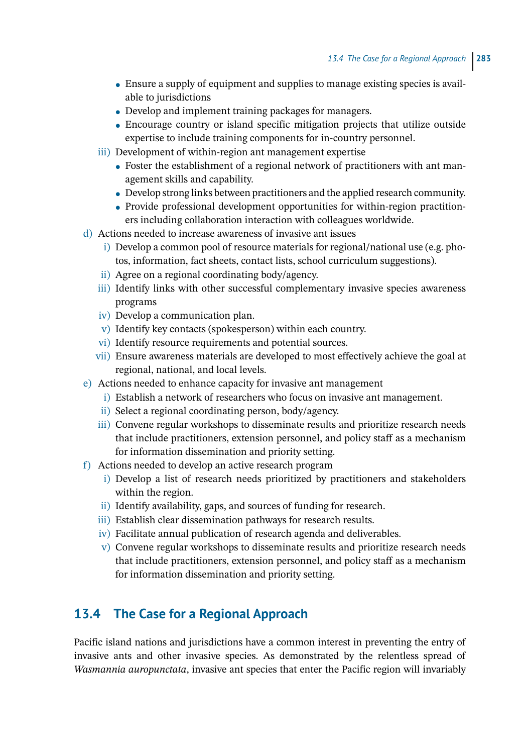- Ensure a supply of equipment and supplies to manage existing species is available to jurisdictions
- Develop and implement training packages for managers.
- Encourage country or island specific mitigation projects that utilize outside expertise to include training components for in-country personnel.
- iii) Development of within-region ant management expertise
	- Foster the establishment of a regional network of practitioners with ant management skills and capability.
	- $\bullet$  Develop strong links between practitioners and the applied research community.
	- Provide professional development opportunities for within-region practitioners including collaboration interaction with colleagues worldwide.
- d) Actions needed to increase awareness of invasive ant issues
	- i) Develop a common pool of resource materials for regional/national use (e.g. photos, information, fact sheets, contact lists, school curriculum suggestions).
	- ii) Agree on a regional coordinating body/agency.
	- iii) Identify links with other successful complementary invasive species awareness programs
	- iv) Develop a communication plan.
	- v) Identify key contacts (spokesperson) within each country.
	- vi) Identify resource requirements and potential sources.
	- vii) Ensure awareness materials are developed to most effectively achieve the goal at regional, national, and local levels.
- e) Actions needed to enhance capacity for invasive ant management
	- i) Establish a network of researchers who focus on invasive ant management.
	- ii) Select a regional coordinating person, body/agency.
	- iii) Convene regular workshops to disseminate results and prioritize research needs that include practitioners, extension personnel, and policy staff as a mechanism for information dissemination and priority setting.
- f) Actions needed to develop an active research program
	- i) Develop a list of research needs prioritized by practitioners and stakeholders within the region.
	- ii) Identify availability, gaps, and sources of funding for research.
	- iii) Establish clear dissemination pathways for research results.
	- iv) Facilitate annual publication of research agenda and deliverables.
	- v) Convene regular workshops to disseminate results and prioritize research needs that include practitioners, extension personnel, and policy staff as a mechanism for information dissemination and priority setting.

# **13.4 The Case for a Regional Approach**

Pacific island nations and jurisdictions have a common interest in preventing the entry of invasive ants and other invasive species. As demonstrated by the relentless spread of *Wasmannia auropunctata*, invasive ant species that enter the Pacific region will invariably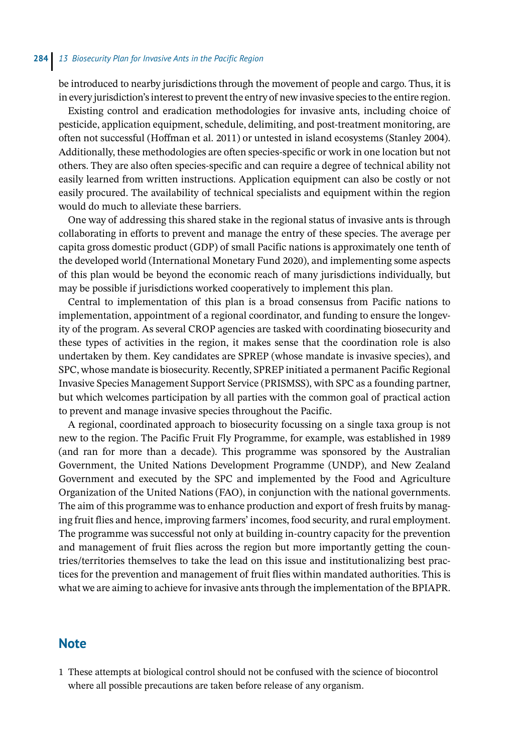be introduced to nearby jurisdictions through the movement of people and cargo. Thus, it is in every jurisdiction's interest to prevent the entry of new invasive species to the entire region.

Existing control and eradication methodologies for invasive ants, including choice of pesticide, application equipment, schedule, delimiting, and post-treatment monitoring, are often not successful (Hoffman et al. 2011) or untested in island ecosystems (Stanley 2004). Additionally, these methodologies are often species-specific or work in one location but not others. They are also often species-specific and can require a degree of technical ability not easily learned from written instructions. Application equipment can also be costly or not easily procured. The availability of technical specialists and equipment within the region would do much to alleviate these barriers.

One way of addressing this shared stake in the regional status of invasive ants is through collaborating in efforts to prevent and manage the entry of these species. The average per capita gross domestic product (GDP) of small Pacific nations is approximately one tenth of the developed world (International Monetary Fund 2020), and implementing some aspects of this plan would be beyond the economic reach of many jurisdictions individually, but may be possible if jurisdictions worked cooperatively to implement this plan.

Central to implementation of this plan is a broad consensus from Pacific nations to implementation, appointment of a regional coordinator, and funding to ensure the longevity of the program. As several CROP agencies are tasked with coordinating biosecurity and these types of activities in the region, it makes sense that the coordination role is also undertaken by them. Key candidates are SPREP (whose mandate is invasive species), and SPC, whose mandate is biosecurity. Recently, SPREP initiated a permanent Pacific Regional Invasive Species Management Support Service (PRISMSS), with SPC as a founding partner, but which welcomes participation by all parties with the common goal of practical action to prevent and manage invasive species throughout the Pacific.

A regional, coordinated approach to biosecurity focussing on a single taxa group is not new to the region. The Pacific Fruit Fly Programme, for example, was established in 1989 (and ran for more than a decade). This programme was sponsored by the Australian Government, the United Nations Development Programme (UNDP), and New Zealand Government and executed by the SPC and implemented by the Food and Agriculture Organization of the United Nations (FAO), in conjunction with the national governments. The aim of this programme was to enhance production and export of fresh fruits by managing fruit flies and hence, improving farmers' incomes, food security, and rural employment. The programme was successful not only at building in-country capacity for the prevention and management of fruit flies across the region but more importantly getting the countries/territories themselves to take the lead on this issue and institutionalizing best practices for the prevention and management of fruit flies within mandated authorities. This is what we are aiming to achieve for invasive ants through the implementation of the BPIAPR.

### **Note**

1 These attempts at biological control should not be confused with the science of biocontrol where all possible precautions are taken before release of any organism.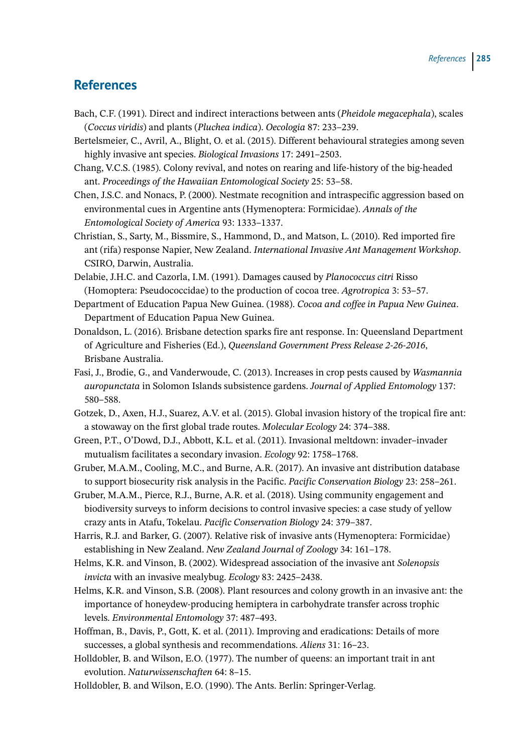### **References**

- Bach, C.F. (1991). Direct and indirect interactions between ants (*Pheidole megacephala*), scales (*Coccus viridis*) and plants (*Pluchea indica*). *Oecologia* 87: 233–239.
- Bertelsmeier, C., Avril, A., Blight, O. et al. (2015). Different behavioural strategies among seven highly invasive ant species. *Biological Invasions* 17: 2491–2503.
- Chang, V.C.S. (1985). Colony revival, and notes on rearing and life-history of the big-headed ant. *Proceedings of the Hawaiian Entomological Society* 25: 53–58.
- Chen, J.S.C. and Nonacs, P. (2000). Nestmate recognition and intraspecific aggression based on environmental cues in Argentine ants (Hymenoptera: Formicidae). *Annals of the Entomological Society of America* 93: 1333–1337.
- Christian, S., Sarty, M., Bissmire, S., Hammond, D., and Matson, L. (2010). Red imported fire ant (rifa) response Napier, New Zealand. *International Invasive Ant Management Workshop*. CSIRO, Darwin, Australia.
- Delabie, J.H.C. and Cazorla, I.M. (1991). Damages caused by *Planococcus citri* Risso (Homoptera: Pseudococcidae) to the production of cocoa tree. *Agrotropica* 3: 53–57.
- Department of Education Papua New Guinea. (1988). *Cocoa and coffee in Papua New Guinea*. Department of Education Papua New Guinea.
- Donaldson, L. (2016). Brisbane detection sparks fire ant response. In: Queensland Department of Agriculture and Fisheries (Ed.), *Queensland Government Press Release 2-26-2016*, Brisbane Australia.
- Fasi, J., Brodie, G., and Vanderwoude, C. (2013). Increases in crop pests caused by *Wasmannia auropunctata* in Solomon Islands subsistence gardens. *Journal of Applied Entomology* 137: 580–588.
- Gotzek, D., Axen, H.J., Suarez, A.V. et al. (2015). Global invasion history of the tropical fire ant: a stowaway on the first global trade routes. *Molecular Ecology* 24: 374–388.
- Green, P.T., O'Dowd, D.J., Abbott, K.L. et al. (2011). Invasional meltdown: invader–invader mutualism facilitates a secondary invasion. *Ecology* 92: 1758–1768.
- Gruber, M.A.M., Cooling, M.C., and Burne, A.R. (2017). An invasive ant distribution database to support biosecurity risk analysis in the Pacific. *Pacific Conservation Biology* 23: 258–261.
- Gruber, M.A.M., Pierce, R.J., Burne, A.R. et al. (2018). Using community engagement and biodiversity surveys to inform decisions to control invasive species: a case study of yellow crazy ants in Atafu, Tokelau. *Pacific Conservation Biology* 24: 379–387.
- Harris, R.J. and Barker, G. (2007). Relative risk of invasive ants (Hymenoptera: Formicidae) establishing in New Zealand. *New Zealand Journal of Zoology* 34: 161–178.
- Helms, K.R. and Vinson, B. (2002). Widespread association of the invasive ant *Solenopsis invicta* with an invasive mealybug. *Ecology* 83: 2425–2438.
- Helms, K.R. and Vinson, S.B. (2008). Plant resources and colony growth in an invasive ant: the importance of honeydew-producing hemiptera in carbohydrate transfer across trophic levels. *Environmental Entomology* 37: 487–493.
- Hoffman, B., Davis, P., Gott, K. et al. (2011). Improving and eradications: Details of more successes, a global synthesis and recommendations. *Aliens* 31: 16–23.
- Holldobler, B. and Wilson, E.O. (1977). The number of queens: an important trait in ant evolution. *Naturwissenschaften* 64: 8–15.

Holldobler, B. and Wilson, E.O. (1990). The Ants. Berlin: Springer-Verlag.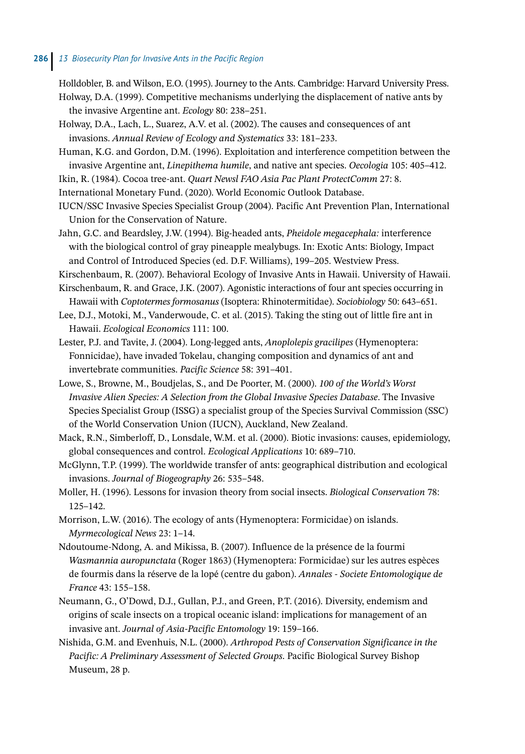Holldobler, B. and Wilson, E.O. (1995). Journey to the Ants. Cambridge: Harvard University Press. Holway, D.A. (1999). Competitive mechanisms underlying the displacement of native ants by the invasive Argentine ant. *Ecology* 80: 238–251.

Holway, D.A., Lach, L., Suarez, A.V. et al. (2002). The causes and consequences of ant invasions. *Annual Review of Ecology and Systematics* 33: 181–233.

Human, K.G. and Gordon, D.M. (1996). Exploitation and interference competition between the invasive Argentine ant, *Linepithema humile*, and native ant species. *Oecologia* 105: 405–412.

- Ikin, R. (1984). Cocoa tree-ant. *Quart Newsl FAO Asia Pac Plant ProtectComm* 27: 8.
- International Monetary Fund. (2020). World Economic Outlook Database.

IUCN/SSC Invasive Species Specialist Group (2004). Pacific Ant Prevention Plan, International Union for the Conservation of Nature.

Jahn, G.C. and Beardsley, J.W. (1994). Big-headed ants, *Pheidole megacephala:* interference with the biological control of gray pineapple mealybugs. In: Exotic Ants: Biology, Impact and Control of Introduced Species (ed. D.F. Williams), 199–205. Westview Press.

Kirschenbaum, R. (2007). Behavioral Ecology of Invasive Ants in Hawaii. University of Hawaii.

Kirschenbaum, R. and Grace, J.K. (2007). Agonistic interactions of four ant species occurring in Hawaii with *Coptotermes formosanus* (Isoptera: Rhinotermitidae). *Sociobiology* 50: 643–651.

Lee, D.J., Motoki, M., Vanderwoude, C. et al. (2015). Taking the sting out of little fire ant in Hawaii. *Ecological Economics* 111: 100.

Lester, P.J. and Tavite, J. (2004). Long-legged ants, *Anoplolepis gracilipes* (Hymenoptera: Fonnicidae), have invaded Tokelau, changing composition and dynamics of ant and invertebrate communities. *Pacific Science* 58: 391–401.

Lowe, S., Browne, M., Boudjelas, S., and De Poorter, M. (2000). *100 of the World's Worst Invasive Alien Species: A Selection from the Global Invasive Species Database*. The Invasive Species Specialist Group (ISSG) a specialist group of the Species Survival Commission (SSC) of the World Conservation Union (IUCN), Auckland, New Zealand.

Mack, R.N., Simberloff, D., Lonsdale, W.M. et al. (2000). Biotic invasions: causes, epidemiology, global consequences and control. *Ecological Applications* 10: 689–710.

McGlynn, T.P. (1999). The worldwide transfer of ants: geographical distribution and ecological invasions. *Journal of Biogeography* 26: 535–548.

Moller, H. (1996). Lessons for invasion theory from social insects. *Biological Conservation* 78: 125–142.

Morrison, L.W. (2016). The ecology of ants (Hymenoptera: Formicidae) on islands. *Myrmecological News* 23: 1–14.

- Ndoutoume-Ndong, A. and Mikissa, B. (2007). Influence de la présence de la fourmi *Wasmannia auropunctata* (Roger 1863) (Hymenoptera: Formicidae) sur les autres espèces de fourmis dans la réserve de la lopé (centre du gabon). *Annales - Societe Entomologique de France* 43: 155–158.
- Neumann, G., O'Dowd, D.J., Gullan, P.J., and Green, P.T. (2016). Diversity, endemism and origins of scale insects on a tropical oceanic island: implications for management of an invasive ant. *Journal of Asia-Pacific Entomology* 19: 159–166.
- Nishida, G.M. and Evenhuis, N.L. (2000). *Arthropod Pests of Conservation Significance in the Pacific: A Preliminary Assessment of Selected Groups*. Pacific Biological Survey Bishop Museum, 28 p.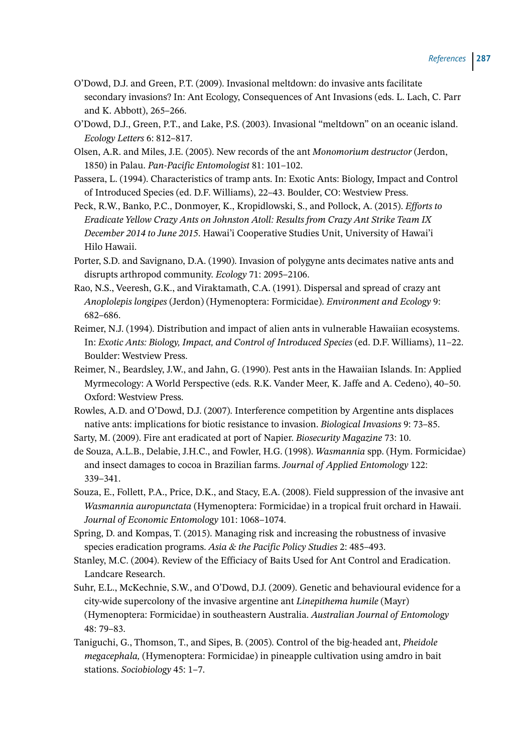- O'Dowd, D.J. and Green, P.T. (2009). Invasional meltdown: do invasive ants facilitate secondary invasions? In: Ant Ecology, Consequences of Ant Invasions (eds. L. Lach, C. Parr and K. Abbott), 265–266.
- O'Dowd, D.J., Green, P.T., and Lake, P.S. (2003). Invasional "meltdown" on an oceanic island. *Ecology Letters* 6: 812–817.
- Olsen, A.R. and Miles, J.E. (2005). New records of the ant *Monomorium destructor* (Jerdon, 1850) in Palau. *Pan-Pacific Entomologist* 81: 101–102.
- Passera, L. (1994). Characteristics of tramp ants. In: Exotic Ants: Biology, Impact and Control of Introduced Species (ed. D.F. Williams), 22–43. Boulder, CO: Westview Press.
- Peck, R.W., Banko, P.C., Donmoyer, K., Kropidlowski, S., and Pollock, A. (2015). *Efforts to Eradicate Yellow Crazy Ants on Johnston Atoll: Results from Crazy Ant Strike Team IX December 2014 to June 2015*. Hawai'i Cooperative Studies Unit, University of Hawai'i Hilo Hawaii.
- Porter, S.D. and Savignano, D.A. (1990). Invasion of polygyne ants decimates native ants and disrupts arthropod community. *Ecology* 71: 2095–2106.
- Rao, N.S., Veeresh, G.K., and Viraktamath, C.A. (1991). Dispersal and spread of crazy ant *Anoplolepis longipes* (Jerdon) (Hymenoptera: Formicidae). *Environment and Ecology* 9: 682–686.
- Reimer, N.J. (1994). Distribution and impact of alien ants in vulnerable Hawaiian ecosystems. In: *Exotic Ants: Biology, Impact, and Control of Introduced Species* (ed. D.F. Williams), 11–22. Boulder: Westview Press.
- Reimer, N., Beardsley, J.W., and Jahn, G. (1990). Pest ants in the Hawaiian Islands. In: Applied Myrmecology: A World Perspective (eds. R.K. Vander Meer, K. Jaffe and A. Cedeno), 40–50. Oxford: Westview Press.
- Rowles, A.D. and O'Dowd, D.J. (2007). Interference competition by Argentine ants displaces native ants: implications for biotic resistance to invasion. *Biological Invasions* 9: 73–85.
- Sarty, M. (2009). Fire ant eradicated at port of Napier. *Biosecurity Magazine* 73: 10.
- de Souza, A.L.B., Delabie, J.H.C., and Fowler, H.G. (1998). *Wasmannia* spp. (Hym. Formicidae) and insect damages to cocoa in Brazilian farms. *Journal of Applied Entomology* 122: 339–341.
- Souza, E., Follett, P.A., Price, D.K., and Stacy, E.A. (2008). Field suppression of the invasive ant *Wasmannia auropunctata* (Hymenoptera: Formicidae) in a tropical fruit orchard in Hawaii. *Journal of Economic Entomology* 101: 1068–1074.
- Spring, D. and Kompas, T. (2015). Managing risk and increasing the robustness of invasive species eradication programs. *Asia & the Pacific Policy Studies* 2: 485–493.
- Stanley, M.C. (2004). Review of the Efficiacy of Baits Used for Ant Control and Eradication. Landcare Research.
- Suhr, E.L., McKechnie, S.W., and O'Dowd, D.J. (2009). Genetic and behavioural evidence for a city-wide supercolony of the invasive argentine ant *Linepithema humile* (Mayr) (Hymenoptera: Formicidae) in southeastern Australia. *Australian Journal of Entomology* 48: 79–83.
- Taniguchi, G., Thomson, T., and Sipes, B. (2005). Control of the big-headed ant, *Pheidole megacephala,* (Hymenoptera: Formicidae) in pineapple cultivation using amdro in bait stations. *Sociobiology* 45: 1–7.